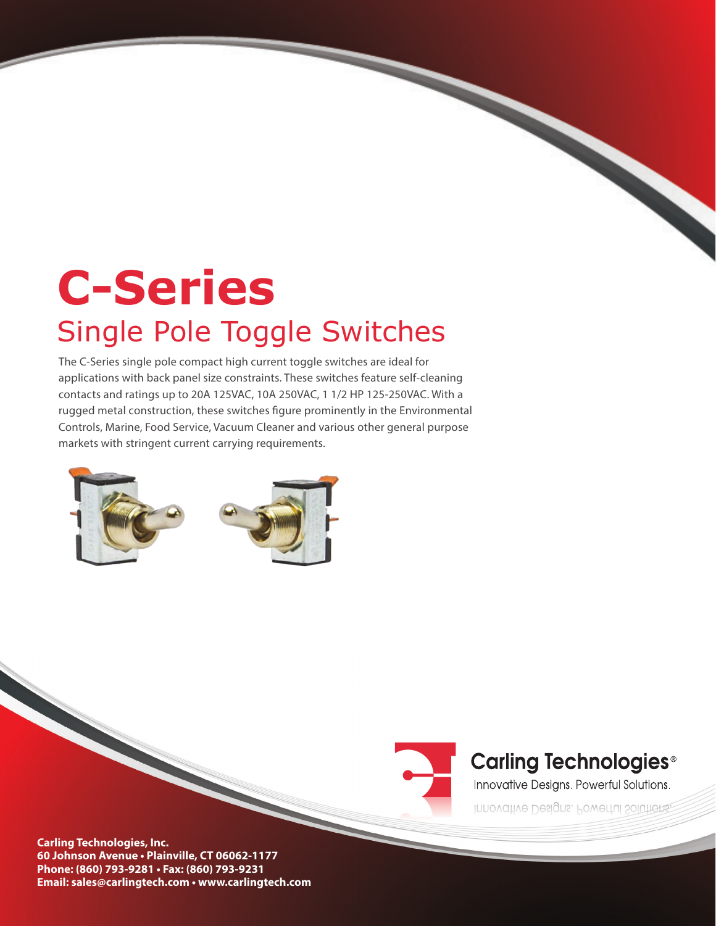# **C-Series**  Single Pole Toggle Switches

The C-Series single pole compact high current toggle switches are ideal for applications with back panel size constraints. These switches feature self-cleaning contacts and ratings up to 20A 125VAC, 10A 250VAC, 1 1/2 HP 125-250VAC. With a rugged metal construction, these switches figure prominently in the Environmental Controls, Marine, Food Service, Vacuum Cleaner and various other general purpose markets with stringent current carrying requirements.





## **Carling Technologies<sup>®</sup>**

Innovative Designs. Powerful Solutions.

Innovative Designs. Powerful Solutions.

**Carling Technologies, Inc. 60 Johnson Avenue • Plainville, CT 06062-1177 Phone: (860) 793-9281 • Fax: (860) 793-9231 Email: sales@carlingtech.com • www.carlingtech.com**